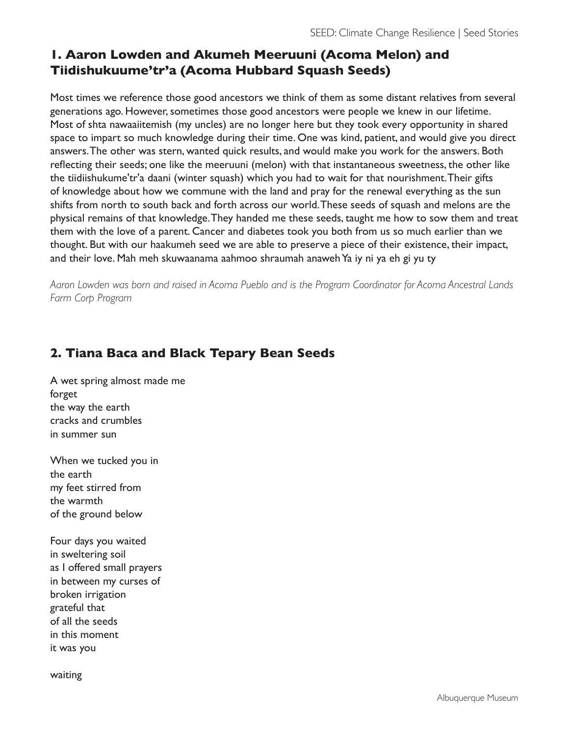# **1. Aaron Lowden and Akumeh Meeruuni (Acoma Melon) and Tiidishukuume'tr'a (Acoma Hubbard Squash Seeds)**

Most times we reference those good ancestors we think of them as some distant relatives from several generations ago. However, sometimes those good ancestors were people we knew in our lifetime. Most of shta nawaaiitemish (my uncles) are no longer here but they took every opportunity in shared space to impart so much knowledge during their time. One was kind, patient, and would give you direct answers. The other was stern, wanted quick results, and would make you work for the answers. Both reflecting their seeds; one like the meeruuni (melon) with that instantaneous sweetness, the other like the tiidiishukume'tr'a daani (winter squash) which you had to wait for that nourishment. Their gifts of knowledge about how we commune with the land and pray for the renewal everything as the sun shifts from north to south back and forth across our world. These seeds of squash and melons are the physical remains of that knowledge. They handed me these seeds, taught me how to sow them and treat them with the love of a parent. Cancer and diabetes took you both from us so much earlier than we thought. But with our haakumeh seed we are able to preserve a piece of their existence, their impact, and their love. Mah meh skuwaanama aahmoo shraumah anaweh Ya iy ni ya eh gi yu ty

*Aaron Lowden was born and raised in Acoma Pueblo and is the Program Coordinator for Acoma Ancestral Lands Farm Corp Program*

# **2. Tiana Baca and Black Tepary Bean Seeds**

A wet spring almost made me forget the way the earth cracks and crumbles in summer sun

When we tucked you in the earth my feet stirred from the warmth of the ground below

Four days you waited in sweltering soil as I offered small prayers in between my curses of broken irrigation grateful that of all the seeds in this moment it was you

waiting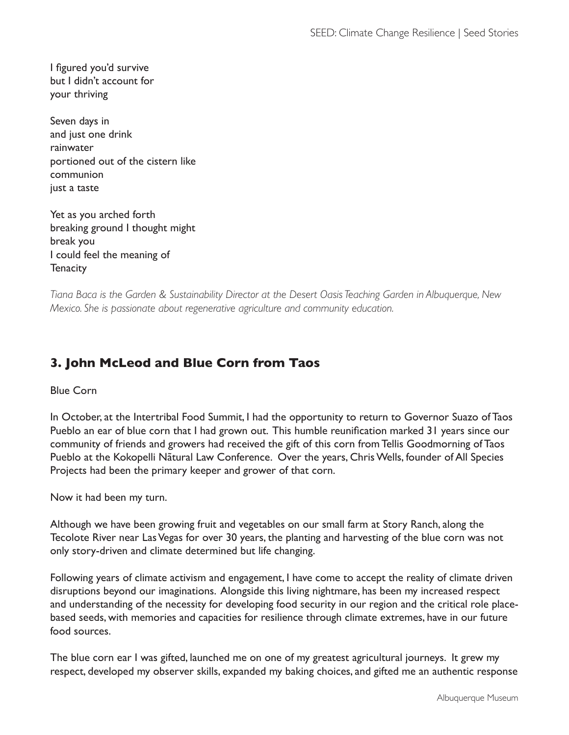I figured you'd survive but I didn't account for your thriving

Seven days in and just one drink rainwater portioned out of the cistern like communion just a taste

Yet as you arched forth breaking ground I thought might break you I could feel the meaning of **Tenacity** 

*Tiana Baca is the Garden & Sustainability Director at the Desert Oasis Teaching Garden in Albuquerque, New Mexico. She is passionate about regenerative agriculture and community education.*

# **3. John McLeod and Blue Corn from Taos**

### Blue Corn

In October, at the Intertribal Food Summit, I had the opportunity to return to Governor Suazo of Taos Pueblo an ear of blue corn that I had grown out. This humble reunification marked 31 years since our community of friends and growers had received the gift of this corn from Tellis Goodmorning of Taos Pueblo at the Kokopelli Nãtural Law Conference. Over the years, Chris Wells, founder of All Species Projects had been the primary keeper and grower of that corn.

Now it had been my turn.

Although we have been growing fruit and vegetables on our small farm at Story Ranch, along the Tecolote River near Las Vegas for over 30 years, the planting and harvesting of the blue corn was not only story-driven and climate determined but life changing.

Following years of climate activism and engagement, I have come to accept the reality of climate driven disruptions beyond our imaginations. Alongside this living nightmare, has been my increased respect and understanding of the necessity for developing food security in our region and the critical role placebased seeds, with memories and capacities for resilience through climate extremes, have in our future food sources.

The blue corn ear I was gifted, launched me on one of my greatest agricultural journeys. It grew my respect, developed my observer skills, expanded my baking choices, and gifted me an authentic response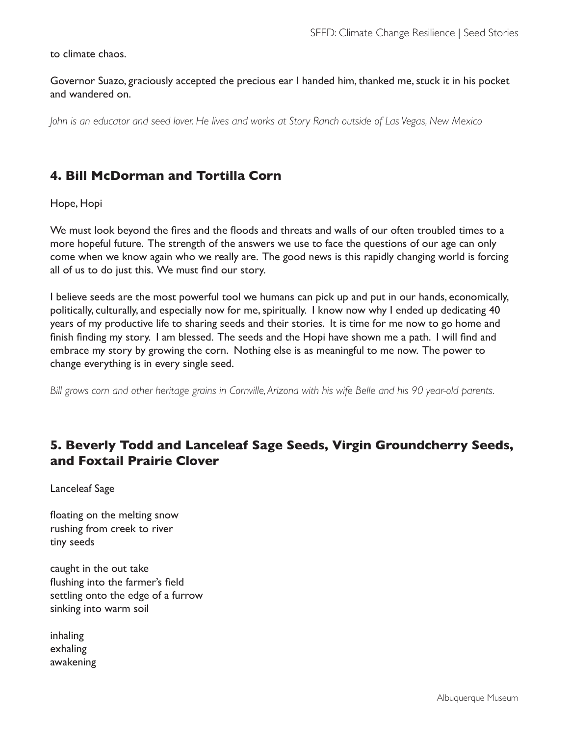to climate chaos.

Governor Suazo, graciously accepted the precious ear I handed him, thanked me, stuck it in his pocket and wandered on.

*John is an educator and seed lover. He lives and works at Story Ranch outside of Las Vegas, New Mexico*

### **4. Bill McDorman and Tortilla Corn**

Hope, Hopi

We must look beyond the fires and the floods and threats and walls of our often troubled times to a more hopeful future. The strength of the answers we use to face the questions of our age can only come when we know again who we really are. The good news is this rapidly changing world is forcing all of us to do just this. We must find our story.

I believe seeds are the most powerful tool we humans can pick up and put in our hands, economically, politically, culturally, and especially now for me, spiritually. I know now why I ended up dedicating 40 years of my productive life to sharing seeds and their stories. It is time for me now to go home and finish finding my story. I am blessed. The seeds and the Hopi have shown me a path. I will find and embrace my story by growing the corn. Nothing else is as meaningful to me now. The power to change everything is in every single seed.

*Bill grows corn and other heritage grains in Cornville, Arizona with his wife Belle and his 90 year-old parents.*

## **5. Beverly Todd and Lanceleaf Sage Seeds, Virgin Groundcherry Seeds, and Foxtail Prairie Clover**

Lanceleaf Sage

floating on the melting snow rushing from creek to river tiny seeds

caught in the out take flushing into the farmer's field settling onto the edge of a furrow sinking into warm soil

inhaling exhaling awakening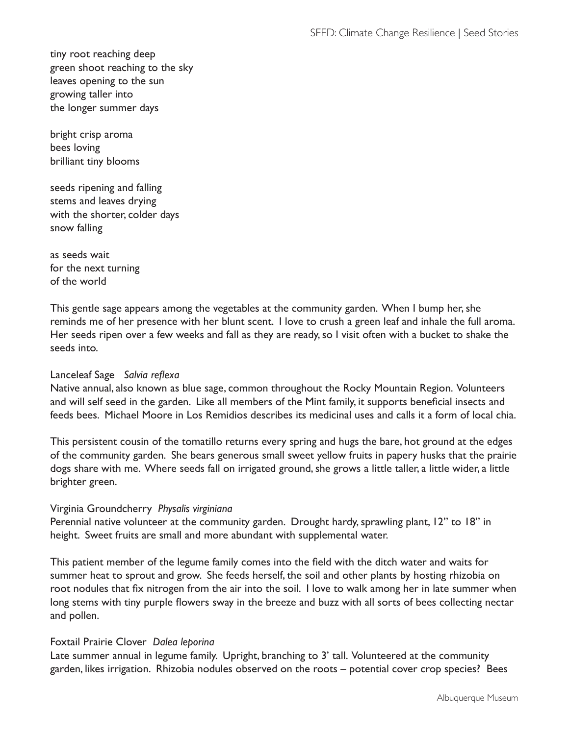tiny root reaching deep green shoot reaching to the sky leaves opening to the sun growing taller into the longer summer days

bright crisp aroma bees loving brilliant tiny blooms

seeds ripening and falling stems and leaves drying with the shorter, colder days snow falling

as seeds wait for the next turning of the world

This gentle sage appears among the vegetables at the community garden. When I bump her, she reminds me of her presence with her blunt scent. I love to crush a green leaf and inhale the full aroma. Her seeds ripen over a few weeks and fall as they are ready, so I visit often with a bucket to shake the seeds into.

### Lanceleaf Sage *Salvia reflexa*

Native annual, also known as blue sage, common throughout the Rocky Mountain Region. Volunteers and will self seed in the garden. Like all members of the Mint family, it supports beneficial insects and feeds bees. Michael Moore in Los Remidios describes its medicinal uses and calls it a form of local chia.

This persistent cousin of the tomatillo returns every spring and hugs the bare, hot ground at the edges of the community garden. She bears generous small sweet yellow fruits in papery husks that the prairie dogs share with me. Where seeds fall on irrigated ground, she grows a little taller, a little wider, a little brighter green.

#### Virginia Groundcherry *Physalis virginiana*

Perennial native volunteer at the community garden. Drought hardy, sprawling plant, 12" to 18" in height. Sweet fruits are small and more abundant with supplemental water.

This patient member of the legume family comes into the field with the ditch water and waits for summer heat to sprout and grow. She feeds herself, the soil and other plants by hosting rhizobia on root nodules that fix nitrogen from the air into the soil. I love to walk among her in late summer when long stems with tiny purple flowers sway in the breeze and buzz with all sorts of bees collecting nectar and pollen.

#### Foxtail Prairie Clover *Dalea leporina*

Late summer annual in legume family. Upright, branching to 3' tall. Volunteered at the community garden, likes irrigation. Rhizobia nodules observed on the roots – potential cover crop species? Bees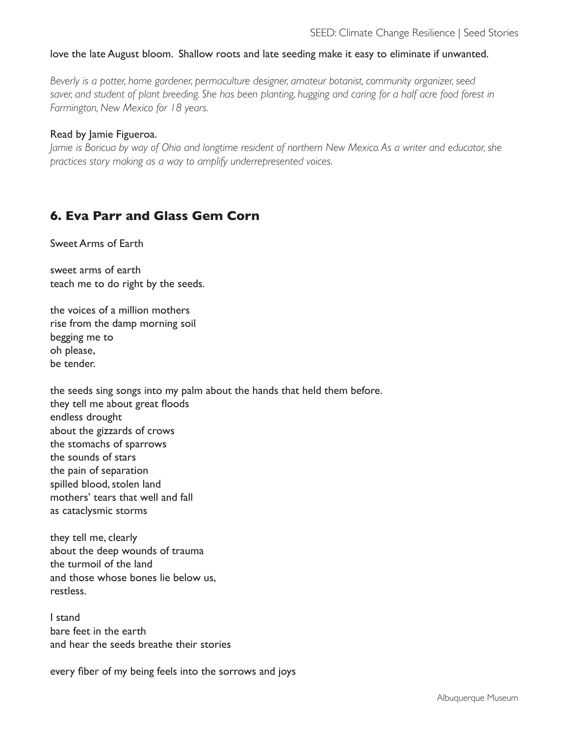#### love the late August bloom. Shallow roots and late seeding make it easy to eliminate if unwanted.

*Beverly is a potter, home gardener, permaculture designer, amateur botanist, community organizer, seed*  saver, and student of plant breeding. She has been planting, hugging and caring for a half acre food forest in *Farmington, New Mexico for 18 years.* 

#### Read by Jamie Figueroa.

*Jamie is Boricua by way of Ohio and longtime resident of northern New Mexico. As a writer and educator, she practices story making as a way to amplify underrepresented voices.* 

### **6. Eva Parr and Glass Gem Corn**

Sweet Arms of Earth

sweet arms of earth teach me to do right by the seeds.

the voices of a million mothers rise from the damp morning soil begging me to oh please, be tender.

the seeds sing songs into my palm about the hands that held them before. they tell me about great floods endless drought about the gizzards of crows the stomachs of sparrows the sounds of stars the pain of separation spilled blood, stolen land mothers' tears that well and fall as cataclysmic storms

they tell me, clearly about the deep wounds of trauma the turmoil of the land and those whose bones lie below us, restless.

I stand bare feet in the earth and hear the seeds breathe their stories

every fiber of my being feels into the sorrows and joys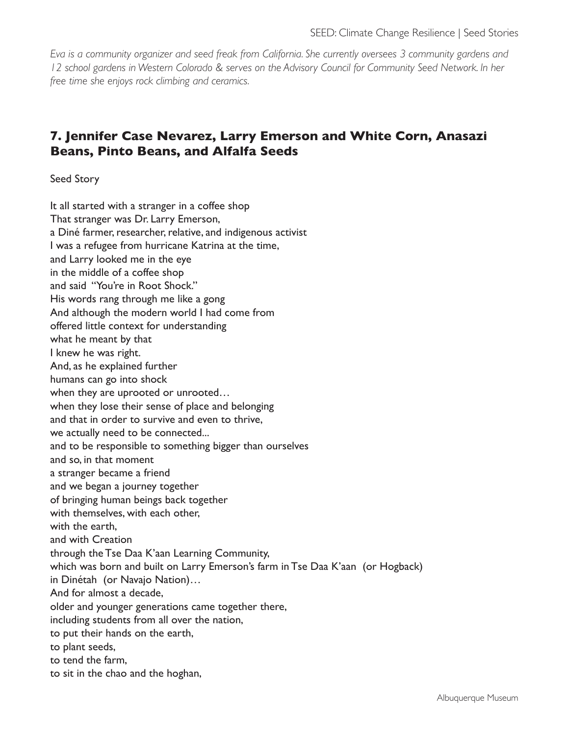*Eva is a community organizer and seed freak from California. She currently oversees 3 community gardens and 12 school gardens in Western Colorado & serves on the Advisory Council for Community Seed Network. In her free time she enjoys rock climbing and ceramics.* 

# **7. Jennifer Case Nevarez, Larry Emerson and White Corn, Anasazi Beans, Pinto Beans, and Alfalfa Seeds**

Seed Story

It all started with a stranger in a coffee shop That stranger was Dr. Larry Emerson, a Diné farmer, researcher, relative, and indigenous activist I was a refugee from hurricane Katrina at the time, and Larry looked me in the eye in the middle of a coffee shop and said "You're in Root Shock." His words rang through me like a gong And although the modern world I had come from offered little context for understanding what he meant by that I knew he was right. And, as he explained further humans can go into shock when they are uprooted or unrooted… when they lose their sense of place and belonging and that in order to survive and even to thrive, we actually need to be connected... and to be responsible to something bigger than ourselves and so, in that moment a stranger became a friend and we began a journey together of bringing human beings back together with themselves, with each other, with the earth, and with Creation through the Tse Daa K'aan Learning Community, which was born and built on Larry Emerson's farm in Tse Daa K'aan (or Hogback) in Dinétah (or Navajo Nation)… And for almost a decade, older and younger generations came together there, including students from all over the nation, to put their hands on the earth, to plant seeds, to tend the farm, to sit in the chao and the hoghan,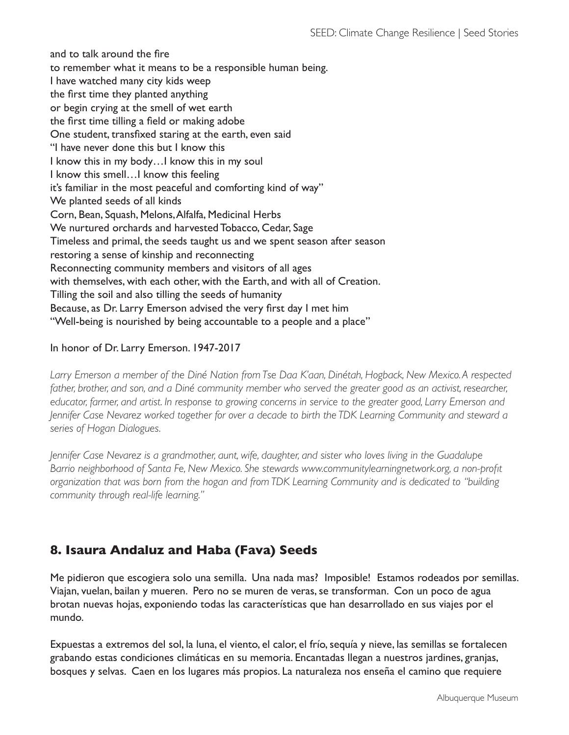and to talk around the fire to remember what it means to be a responsible human being. I have watched many city kids weep the first time they planted anything or begin crying at the smell of wet earth the first time tilling a field or making adobe One student, transfixed staring at the earth, even said "I have never done this but I know this I know this in my body…I know this in my soul I know this smell…I know this feeling it's familiar in the most peaceful and comforting kind of way" We planted seeds of all kinds Corn, Bean, Squash, Melons, Alfalfa, Medicinal Herbs We nurtured orchards and harvested Tobacco, Cedar, Sage Timeless and primal, the seeds taught us and we spent season after season restoring a sense of kinship and reconnecting Reconnecting community members and visitors of all ages with themselves, with each other, with the Earth, and with all of Creation. Tilling the soil and also tilling the seeds of humanity Because, as Dr. Larry Emerson advised the very first day I met him "Well-being is nourished by being accountable to a people and a place"

### In honor of Dr. Larry Emerson. 1947-2017

*Larry Emerson a member of the Diné Nation from Tse Daa K'aan, Dinétah, Hogback, New Mexico. A respected*  father, brother, and son, and a Diné community member who served the greater good as an activist, researcher, *educator, farmer, and artist. In response to growing concerns in service to the greater good, Larry Emerson and Jennifer Case Nevarez worked together for over a decade to birth the TDK Learning Community and steward a series of Hogan Dialogues.* 

*Jennifer Case Nevarez is a grandmother, aunt, wife, daughter, and sister who loves living in the Guadalupe Barrio neighborhood of Santa Fe, New Mexico. She stewards www.communitylearningnetwork.org, a non-profit organization that was born from the hogan and from TDK Learning Community and is dedicated to "building community through real-life learning."* 

## **8. Isaura Andaluz and Haba (Fava) Seeds**

Me pidieron que escogiera solo una semilla. Una nada mas? Imposible! Estamos rodeados por semillas. Viajan, vuelan, bailan y mueren. Pero no se muren de veras, se transforman. Con un poco de agua brotan nuevas hojas, exponiendo todas las características que han desarrollado en sus viajes por el mundo.

Expuestas a extremos del sol, la luna, el viento, el calor, el frío, sequía y nieve, las semillas se fortalecen grabando estas condiciones climáticas en su memoria. Encantadas llegan a nuestros jardines, granjas, bosques y selvas. Caen en los lugares más propios. La naturaleza nos enseña el camino que requiere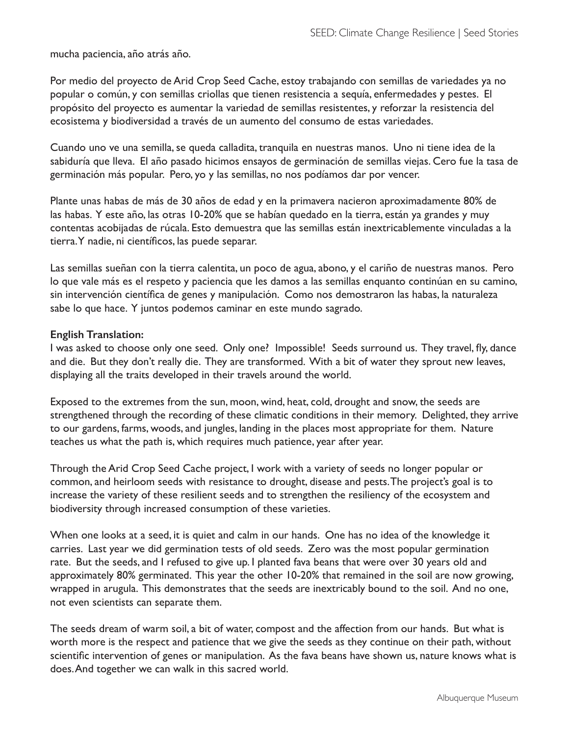mucha paciencia, año atrás año.

Por medio del proyecto de Arid Crop Seed Cache, estoy trabajando con semillas de variedades ya no popular o común, y con semillas criollas que tienen resistencia a sequía, enfermedades y pestes. El propósito del proyecto es aumentar la variedad de semillas resistentes, y reforzar la resistencia del ecosistema y biodiversidad a través de un aumento del consumo de estas variedades.

Cuando uno ve una semilla, se queda calladita, tranquila en nuestras manos. Uno ni tiene idea de la sabiduría que lleva. El año pasado hicimos ensayos de germinación de semillas viejas. Cero fue la tasa de germinación más popular. Pero, yo y las semillas, no nos podíamos dar por vencer.

Plante unas habas de más de 30 años de edad y en la primavera nacieron aproximadamente 80% de las habas. Y este año, las otras 10-20% que se habían quedado en la tierra, están ya grandes y muy contentas acobijadas de rúcala. Esto demuestra que las semillas están inextricablemente vinculadas a la tierra. Y nadie, ni científicos, las puede separar.

Las semillas sueñan con la tierra calentita, un poco de agua, abono, y el cariño de nuestras manos. Pero lo que vale más es el respeto y paciencia que les damos a las semillas enquanto continúan en su camino, sin intervención científica de genes y manipulación. Como nos demostraron las habas, la naturaleza sabe lo que hace. Y juntos podemos caminar en este mundo sagrado.

#### **English Translation:**

I was asked to choose only one seed. Only one? Impossible! Seeds surround us. They travel, fly, dance and die. But they don't really die. They are transformed. With a bit of water they sprout new leaves, displaying all the traits developed in their travels around the world.

Exposed to the extremes from the sun, moon, wind, heat, cold, drought and snow, the seeds are strengthened through the recording of these climatic conditions in their memory. Delighted, they arrive to our gardens, farms, woods, and jungles, landing in the places most appropriate for them. Nature teaches us what the path is, which requires much patience, year after year.

Through the Arid Crop Seed Cache project, I work with a variety of seeds no longer popular or common, and heirloom seeds with resistance to drought, disease and pests. The project's goal is to increase the variety of these resilient seeds and to strengthen the resiliency of the ecosystem and biodiversity through increased consumption of these varieties.

When one looks at a seed, it is quiet and calm in our hands. One has no idea of the knowledge it carries. Last year we did germination tests of old seeds. Zero was the most popular germination rate. But the seeds, and I refused to give up. I planted fava beans that were over 30 years old and approximately 80% germinated. This year the other 10-20% that remained in the soil are now growing, wrapped in arugula. This demonstrates that the seeds are inextricably bound to the soil. And no one, not even scientists can separate them.

The seeds dream of warm soil, a bit of water, compost and the affection from our hands. But what is worth more is the respect and patience that we give the seeds as they continue on their path, without scientific intervention of genes or manipulation. As the fava beans have shown us, nature knows what is does. And together we can walk in this sacred world.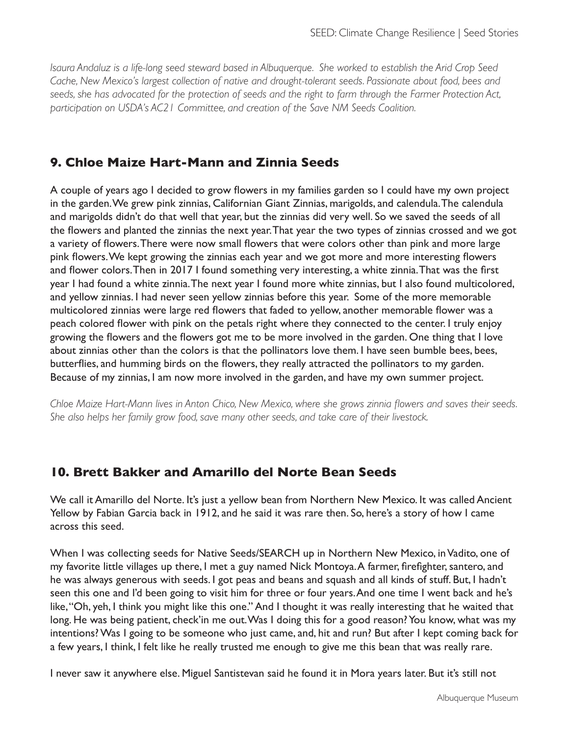*Isaura Andaluz is a life-long seed steward based in Albuquerque. She worked to establish the Arid Crop Seed Cache, New Mexico's largest collection of native and drought-tolerant seeds. Passionate about food, bees and seeds, she has advocated for the protection of seeds and the right to farm through the Farmer Protection Act, participation on USDA's AC21 Committee, and creation of the Save NM Seeds Coalition.*

### **9. Chloe Maize Hart-Mann and Zinnia Seeds**

A couple of years ago I decided to grow flowers in my families garden so I could have my own project in the garden. We grew pink zinnias, Californian Giant Zinnias, marigolds, and calendula. The calendula and marigolds didn't do that well that year, but the zinnias did very well. So we saved the seeds of all the flowers and planted the zinnias the next year. That year the two types of zinnias crossed and we got a variety of flowers. There were now small flowers that were colors other than pink and more large pink flowers. We kept growing the zinnias each year and we got more and more interesting flowers and flower colors. Then in 2017 I found something very interesting, a white zinnia. That was the first year I had found a white zinnia. The next year I found more white zinnias, but I also found multicolored, and yellow zinnias. I had never seen yellow zinnias before this year. Some of the more memorable multicolored zinnias were large red flowers that faded to yellow, another memorable flower was a peach colored flower with pink on the petals right where they connected to the center. I truly enjoy growing the flowers and the flowers got me to be more involved in the garden. One thing that I love about zinnias other than the colors is that the pollinators love them. I have seen bumble bees, bees, butterflies, and humming birds on the flowers, they really attracted the pollinators to my garden. Because of my zinnias, I am now more involved in the garden, and have my own summer project.

*Chloe Maize Hart-Mann lives in Anton Chico, New Mexico, where she grows zinnia flowers and saves their seeds. She also helps her family grow food, save many other seeds, and take care of their livestock.*

### **10. Brett Bakker and Amarillo del Norte Bean Seeds**

We call it Amarillo del Norte. It's just a yellow bean from Northern New Mexico. It was called Ancient Yellow by Fabian Garcia back in 1912, and he said it was rare then. So, here's a story of how I came across this seed.

When I was collecting seeds for Native Seeds/SEARCH up in Northern New Mexico, in Vadito, one of my favorite little villages up there, I met a guy named Nick Montoya. A farmer, firefighter, santero, and he was always generous with seeds. I got peas and beans and squash and all kinds of stuff. But, I hadn't seen this one and I'd been going to visit him for three or four years. And one time I went back and he's like, "Oh, yeh, I think you might like this one." And I thought it was really interesting that he waited that long. He was being patient, check'in me out. Was I doing this for a good reason? You know, what was my intentions? Was I going to be someone who just came, and, hit and run? But after I kept coming back for a few years, I think, I felt like he really trusted me enough to give me this bean that was really rare.

I never saw it anywhere else. Miguel Santistevan said he found it in Mora years later. But it's still not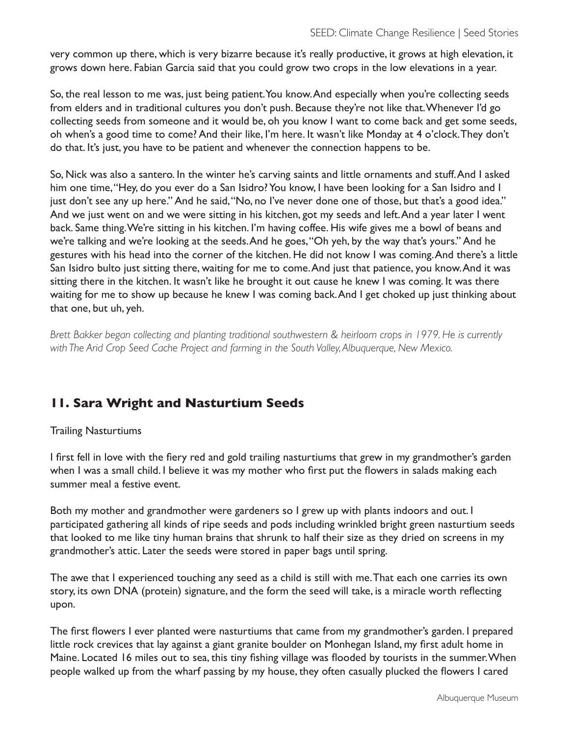very common up there, which is very bizarre because it's really productive, it grows at high elevation, it grows down here. Fabian Garcia said that you could grow two crops in the low elevations in a year.

So, the real lesson to me was, just being patient. You know. And especially when you're collecting seeds from elders and in traditional cultures you don't push. Because they're not like that. Whenever I'd go collecting seeds from someone and it would be, oh you know I want to come back and get some seeds, oh when's a good time to come? And their like, I'm here. It wasn't like Monday at 4 o'clock. They don't do that. It's just, you have to be patient and whenever the connection happens to be.

So, Nick was also a santero. In the winter he's carving saints and little ornaments and stuff. And I asked him one time, "Hey, do you ever do a San Isidro? You know, I have been looking for a San Isidro and I just don't see any up here." And he said, "No, no I've never done one of those, but that's a good idea." And we just went on and we were sitting in his kitchen, got my seeds and left. And a year later I went back. Same thing. We're sitting in his kitchen. I'm having coffee. His wife gives me a bowl of beans and we're talking and we're looking at the seeds. And he goes, "Oh yeh, by the way that's yours." And he gestures with his head into the corner of the kitchen. He did not know I was coming. And there's a little San Isidro bulto just sitting there, waiting for me to come. And just that patience, you know. And it was sitting there in the kitchen. It wasn't like he brought it out cause he knew I was coming. It was there waiting for me to show up because he knew I was coming back. And I get choked up just thinking about that one, but uh, yeh.

*Brett Bakker began collecting and planting traditional southwestern & heirloom crops in 1979. He is currently with The Arid Crop Seed Cache Project and farming in the South Valley, Albuquerque, New Mexico.*

## **11. Sara Wright and Nasturtium Seeds**

### Trailing Nasturtiums

I first fell in love with the fiery red and gold trailing nasturtiums that grew in my grandmother's garden when I was a small child. I believe it was my mother who first put the flowers in salads making each summer meal a festive event.

Both my mother and grandmother were gardeners so I grew up with plants indoors and out. I participated gathering all kinds of ripe seeds and pods including wrinkled bright green nasturtium seeds that looked to me like tiny human brains that shrunk to half their size as they dried on screens in my grandmother's attic. Later the seeds were stored in paper bags until spring.

The awe that I experienced touching any seed as a child is still with me. That each one carries its own story, its own DNA (protein) signature, and the form the seed will take, is a miracle worth reflecting upon.

The first flowers I ever planted were nasturtiums that came from my grandmother's garden. I prepared little rock crevices that lay against a giant granite boulder on Monhegan Island, my first adult home in Maine. Located 16 miles out to sea, this tiny fishing village was flooded by tourists in the summer. When people walked up from the wharf passing by my house, they often casually plucked the flowers I cared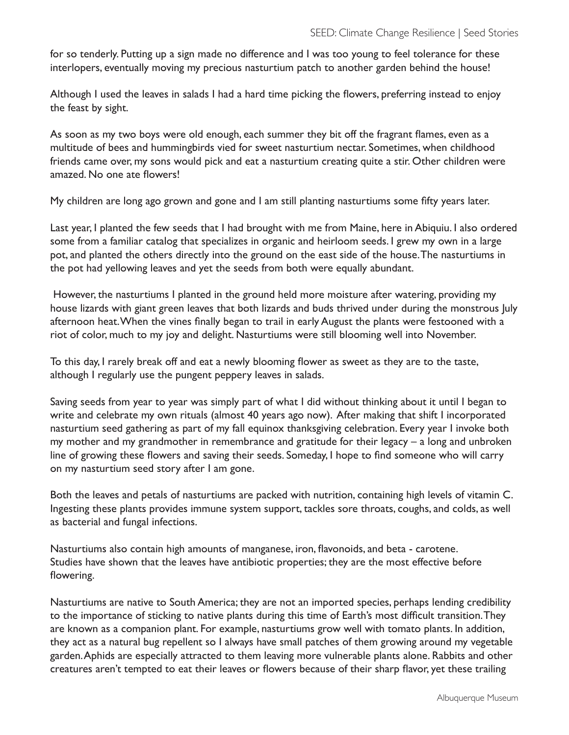for so tenderly. Putting up a sign made no difference and I was too young to feel tolerance for these interlopers, eventually moving my precious nasturtium patch to another garden behind the house!

Although I used the leaves in salads I had a hard time picking the flowers, preferring instead to enjoy the feast by sight.

As soon as my two boys were old enough, each summer they bit off the fragrant flames, even as a multitude of bees and hummingbirds vied for sweet nasturtium nectar. Sometimes, when childhood friends came over, my sons would pick and eat a nasturtium creating quite a stir. Other children were amazed. No one ate flowers!

My children are long ago grown and gone and I am still planting nasturtiums some fifty years later.

Last year, I planted the few seeds that I had brought with me from Maine, here in Abiquiu. I also ordered some from a familiar catalog that specializes in organic and heirloom seeds. I grew my own in a large pot, and planted the others directly into the ground on the east side of the house. The nasturtiums in the pot had yellowing leaves and yet the seeds from both were equally abundant.

 However, the nasturtiums I planted in the ground held more moisture after watering, providing my house lizards with giant green leaves that both lizards and buds thrived under during the monstrous July afternoon heat. When the vines finally began to trail in early August the plants were festooned with a riot of color, much to my joy and delight. Nasturtiums were still blooming well into November.

To this day, I rarely break off and eat a newly blooming flower as sweet as they are to the taste, although I regularly use the pungent peppery leaves in salads.

Saving seeds from year to year was simply part of what I did without thinking about it until I began to write and celebrate my own rituals (almost 40 years ago now). After making that shift I incorporated nasturtium seed gathering as part of my fall equinox thanksgiving celebration. Every year I invoke both my mother and my grandmother in remembrance and gratitude for their legacy – a long and unbroken line of growing these flowers and saving their seeds. Someday, I hope to find someone who will carry on my nasturtium seed story after I am gone.

Both the leaves and petals of nasturtiums are packed with nutrition, containing high levels of vitamin C. Ingesting these plants provides immune system support, tackles sore throats, coughs, and colds, as well as bacterial and fungal infections.

Nasturtiums also contain high amounts of manganese, iron, flavonoids, and beta - carotene. Studies have shown that the leaves have antibiotic properties; they are the most effective before flowering.

Nasturtiums are native to South America; they are not an imported species, perhaps lending credibility to the importance of sticking to native plants during this time of Earth's most difficult transition. They are known as a companion plant. For example, nasturtiums grow well with tomato plants. In addition, they act as a natural bug repellent so I always have small patches of them growing around my vegetable garden. Aphids are especially attracted to them leaving more vulnerable plants alone. Rabbits and other creatures aren't tempted to eat their leaves or flowers because of their sharp flavor, yet these trailing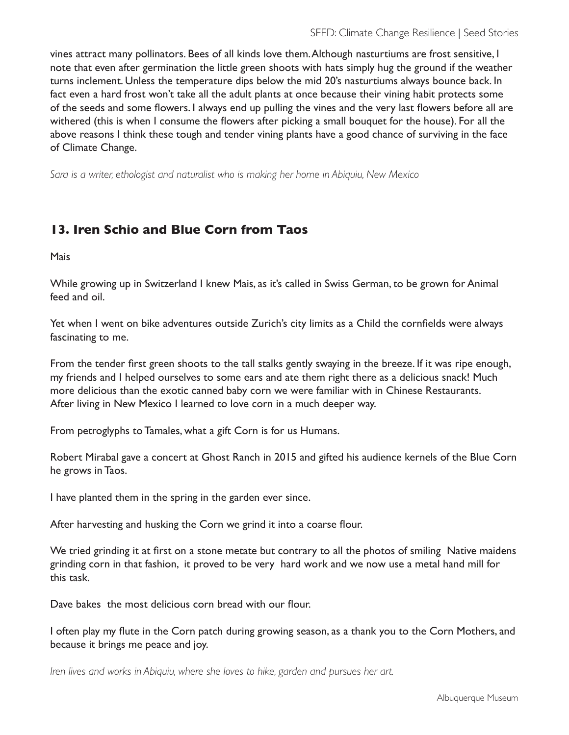vines attract many pollinators. Bees of all kinds love them. Although nasturtiums are frost sensitive, I note that even after germination the little green shoots with hats simply hug the ground if the weather turns inclement. Unless the temperature dips below the mid 20's nasturtiums always bounce back. In fact even a hard frost won't take all the adult plants at once because their vining habit protects some of the seeds and some flowers. I always end up pulling the vines and the very last flowers before all are withered (this is when I consume the flowers after picking a small bouquet for the house). For all the above reasons I think these tough and tender vining plants have a good chance of surviving in the face of Climate Change.

*Sara is a writer, ethologist and naturalist who is making her home in Abiquiu, New Mexico*

### **13. Iren Schio and Blue Corn from Taos**

Mais

While growing up in Switzerland I knew Mais, as it's called in Swiss German, to be grown for Animal feed and oil.

Yet when I went on bike adventures outside Zurich's city limits as a Child the cornfields were always fascinating to me.

From the tender first green shoots to the tall stalks gently swaying in the breeze. If it was ripe enough, my friends and I helped ourselves to some ears and ate them right there as a delicious snack! Much more delicious than the exotic canned baby corn we were familiar with in Chinese Restaurants. After living in New Mexico I learned to love corn in a much deeper way.

From petroglyphs to Tamales, what a gift Corn is for us Humans.

Robert Mirabal gave a concert at Ghost Ranch in 2015 and gifted his audience kernels of the Blue Corn he grows in Taos.

I have planted them in the spring in the garden ever since.

After harvesting and husking the Corn we grind it into a coarse flour.

We tried grinding it at first on a stone metate but contrary to all the photos of smiling Native maidens grinding corn in that fashion, it proved to be very hard work and we now use a metal hand mill for this task.

Dave bakes the most delicious corn bread with our flour.

I often play my flute in the Corn patch during growing season, as a thank you to the Corn Mothers, and because it brings me peace and joy.

*Iren lives and works in Abiquiu, where she loves to hike, garden and pursues her art.*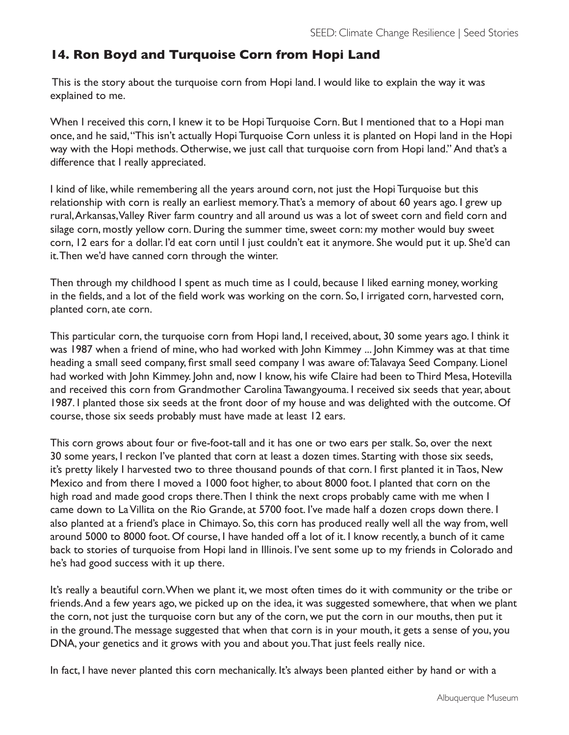### **14. Ron Boyd and Turquoise Corn from Hopi Land**

 This is the story about the turquoise corn from Hopi land. I would like to explain the way it was explained to me.

When I received this corn, I knew it to be Hopi Turquoise Corn. But I mentioned that to a Hopi man once, and he said, "This isn't actually Hopi Turquoise Corn unless it is planted on Hopi land in the Hopi way with the Hopi methods. Otherwise, we just call that turquoise corn from Hopi land." And that's a difference that I really appreciated.

I kind of like, while remembering all the years around corn, not just the Hopi Turquoise but this relationship with corn is really an earliest memory. That's a memory of about 60 years ago. I grew up rural, Arkansas, Valley River farm country and all around us was a lot of sweet corn and field corn and silage corn, mostly yellow corn. During the summer time, sweet corn: my mother would buy sweet corn, 12 ears for a dollar. I'd eat corn until I just couldn't eat it anymore. She would put it up. She'd can it. Then we'd have canned corn through the winter.

Then through my childhood I spent as much time as I could, because I liked earning money, working in the fields, and a lot of the field work was working on the corn. So, I irrigated corn, harvested corn, planted corn, ate corn.

This particular corn, the turquoise corn from Hopi land, I received, about, 30 some years ago. I think it was 1987 when a friend of mine, who had worked with John Kimmey ... John Kimmey was at that time heading a small seed company, first small seed company I was aware of: Talavaya Seed Company. Lionel had worked with John Kimmey. John and, now I know, his wife Claire had been to Third Mesa, Hotevilla and received this corn from Grandmother Carolina Tawangyouma. I received six seeds that year, about 1987. I planted those six seeds at the front door of my house and was delighted with the outcome. Of course, those six seeds probably must have made at least 12 ears.

This corn grows about four or five-foot-tall and it has one or two ears per stalk. So, over the next 30 some years, I reckon I've planted that corn at least a dozen times. Starting with those six seeds, it's pretty likely I harvested two to three thousand pounds of that corn. I first planted it in Taos, New Mexico and from there I moved a 1000 foot higher, to about 8000 foot. I planted that corn on the high road and made good crops there. Then I think the next crops probably came with me when I came down to La Villita on the Rio Grande, at 5700 foot. I've made half a dozen crops down there. I also planted at a friend's place in Chimayo. So, this corn has produced really well all the way from, well around 5000 to 8000 foot. Of course, I have handed off a lot of it. I know recently, a bunch of it came back to stories of turquoise from Hopi land in Illinois. I've sent some up to my friends in Colorado and he's had good success with it up there.

It's really a beautiful corn. When we plant it, we most often times do it with community or the tribe or friends. And a few years ago, we picked up on the idea, it was suggested somewhere, that when we plant the corn, not just the turquoise corn but any of the corn, we put the corn in our mouths, then put it in the ground. The message suggested that when that corn is in your mouth, it gets a sense of you, you DNA, your genetics and it grows with you and about you. That just feels really nice.

In fact, I have never planted this corn mechanically. It's always been planted either by hand or with a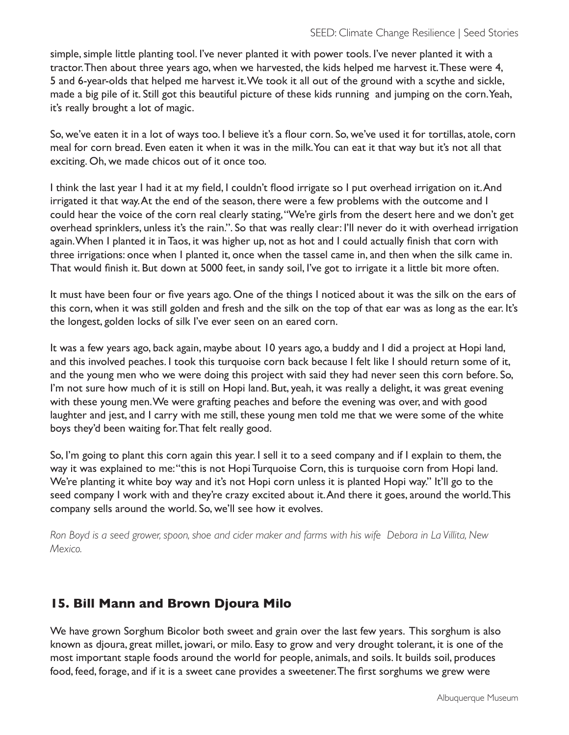simple, simple little planting tool. I've never planted it with power tools. I've never planted it with a tractor. Then about three years ago, when we harvested, the kids helped me harvest it. These were 4, 5 and 6-year-olds that helped me harvest it. We took it all out of the ground with a scythe and sickle, made a big pile of it. Still got this beautiful picture of these kids running and jumping on the corn. Yeah, it's really brought a lot of magic.

So, we've eaten it in a lot of ways too. I believe it's a flour corn. So, we've used it for tortillas, atole, corn meal for corn bread. Even eaten it when it was in the milk. You can eat it that way but it's not all that exciting. Oh, we made chicos out of it once too.

I think the last year I had it at my field, I couldn't flood irrigate so I put overhead irrigation on it. And irrigated it that way. At the end of the season, there were a few problems with the outcome and I could hear the voice of the corn real clearly stating, "We're girls from the desert here and we don't get overhead sprinklers, unless it's the rain.". So that was really clear: I'll never do it with overhead irrigation again. When I planted it in Taos, it was higher up, not as hot and I could actually finish that corn with three irrigations: once when I planted it, once when the tassel came in, and then when the silk came in. That would finish it. But down at 5000 feet, in sandy soil, I've got to irrigate it a little bit more often.

It must have been four or five years ago. One of the things I noticed about it was the silk on the ears of this corn, when it was still golden and fresh and the silk on the top of that ear was as long as the ear. It's the longest, golden locks of silk I've ever seen on an eared corn.

It was a few years ago, back again, maybe about 10 years ago, a buddy and I did a project at Hopi land, and this involved peaches. I took this turquoise corn back because I felt like I should return some of it, and the young men who we were doing this project with said they had never seen this corn before. So, I'm not sure how much of it is still on Hopi land. But, yeah, it was really a delight, it was great evening with these young men. We were grafting peaches and before the evening was over, and with good laughter and jest, and I carry with me still, these young men told me that we were some of the white boys they'd been waiting for. That felt really good.

So, I'm going to plant this corn again this year. I sell it to a seed company and if I explain to them, the way it was explained to me: "this is not Hopi Turquoise Corn, this is turquoise corn from Hopi land. We're planting it white boy way and it's not Hopi corn unless it is planted Hopi way." It'll go to the seed company I work with and they're crazy excited about it. And there it goes, around the world. This company sells around the world. So, we'll see how it evolves.

*Ron Boyd is a seed grower, spoon, shoe and cider maker and farms with his wife Debora in La Villita, New Mexico.*

## **15. Bill Mann and Brown Djoura Milo**

We have grown Sorghum Bicolor both sweet and grain over the last few years. This sorghum is also known as djoura, great millet, jowari, or milo. Easy to grow and very drought tolerant, it is one of the most important staple foods around the world for people, animals, and soils. It builds soil, produces food, feed, forage, and if it is a sweet cane provides a sweetener. The first sorghums we grew were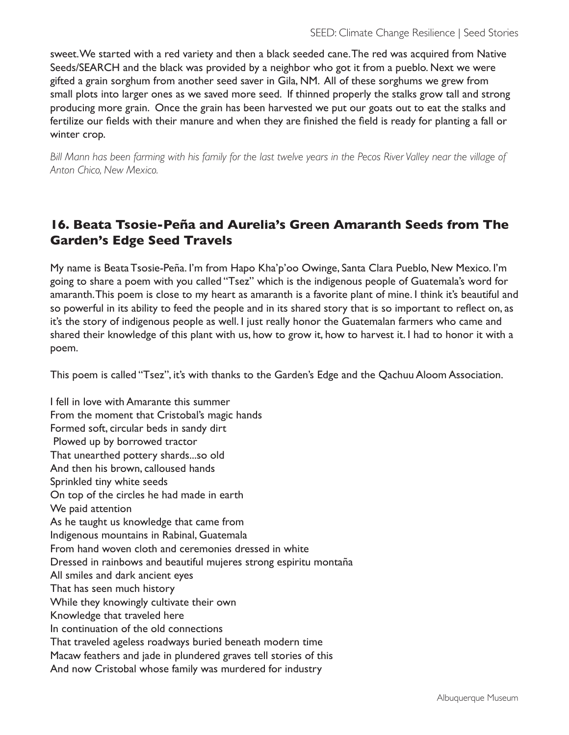sweet. We started with a red variety and then a black seeded cane. The red was acquired from Native Seeds/SEARCH and the black was provided by a neighbor who got it from a pueblo. Next we were gifted a grain sorghum from another seed saver in Gila, NM. All of these sorghums we grew from small plots into larger ones as we saved more seed. If thinned properly the stalks grow tall and strong producing more grain. Once the grain has been harvested we put our goats out to eat the stalks and fertilize our fields with their manure and when they are finished the field is ready for planting a fall or winter crop.

*Bill Mann has been farming with his family for the last twelve years in the Pecos River Valley near the village of Anton Chico, New Mexico.*

# **16. Beata Tsosie-Peña and Aurelia's Green Amaranth Seeds from The Garden's Edge Seed Travels**

My name is Beata Tsosie-Peña. I'm from Hapo Kha'p'oo Owinge, Santa Clara Pueblo, New Mexico. I'm going to share a poem with you called "Tsez" which is the indigenous people of Guatemala's word for amaranth. This poem is close to my heart as amaranth is a favorite plant of mine. I think it's beautiful and so powerful in its ability to feed the people and in its shared story that is so important to reflect on, as it's the story of indigenous people as well. I just really honor the Guatemalan farmers who came and shared their knowledge of this plant with us, how to grow it, how to harvest it. I had to honor it with a poem.

This poem is called "Tsez", it's with thanks to the Garden's Edge and the Qachuu Aloom Association.

I fell in love with Amarante this summer From the moment that Cristobal's magic hands Formed soft, circular beds in sandy dirt Plowed up by borrowed tractor That unearthed pottery shards...so old And then his brown, calloused hands Sprinkled tiny white seeds On top of the circles he had made in earth We paid attention As he taught us knowledge that came from Indigenous mountains in Rabinal, Guatemala From hand woven cloth and ceremonies dressed in white Dressed in rainbows and beautiful mujeres strong espiritu montaña All smiles and dark ancient eyes That has seen much history While they knowingly cultivate their own Knowledge that traveled here In continuation of the old connections That traveled ageless roadways buried beneath modern time Macaw feathers and jade in plundered graves tell stories of this And now Cristobal whose family was murdered for industry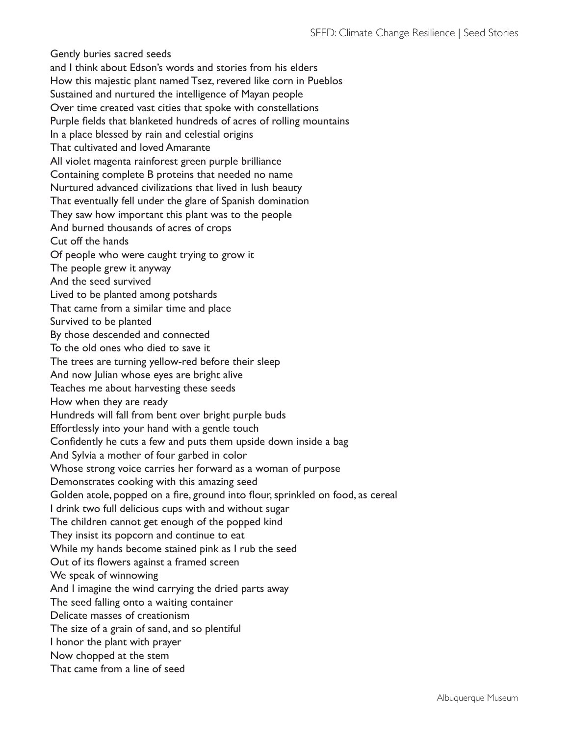Gently buries sacred seeds and I think about Edson's words and stories from his elders How this majestic plant named Tsez, revered like corn in Pueblos Sustained and nurtured the intelligence of Mayan people Over time created vast cities that spoke with constellations Purple fields that blanketed hundreds of acres of rolling mountains In a place blessed by rain and celestial origins That cultivated and loved Amarante All violet magenta rainforest green purple brilliance Containing complete B proteins that needed no name Nurtured advanced civilizations that lived in lush beauty That eventually fell under the glare of Spanish domination They saw how important this plant was to the people And burned thousands of acres of crops Cut off the hands Of people who were caught trying to grow it The people grew it anyway And the seed survived Lived to be planted among potshards That came from a similar time and place Survived to be planted By those descended and connected To the old ones who died to save it The trees are turning yellow-red before their sleep And now Julian whose eyes are bright alive Teaches me about harvesting these seeds How when they are ready Hundreds will fall from bent over bright purple buds Effortlessly into your hand with a gentle touch Confidently he cuts a few and puts them upside down inside a bag And Sylvia a mother of four garbed in color Whose strong voice carries her forward as a woman of purpose Demonstrates cooking with this amazing seed Golden atole, popped on a fire, ground into flour, sprinkled on food, as cereal I drink two full delicious cups with and without sugar The children cannot get enough of the popped kind They insist its popcorn and continue to eat While my hands become stained pink as I rub the seed Out of its flowers against a framed screen We speak of winnowing And I imagine the wind carrying the dried parts away The seed falling onto a waiting container Delicate masses of creationism The size of a grain of sand, and so plentiful I honor the plant with prayer Now chopped at the stem That came from a line of seed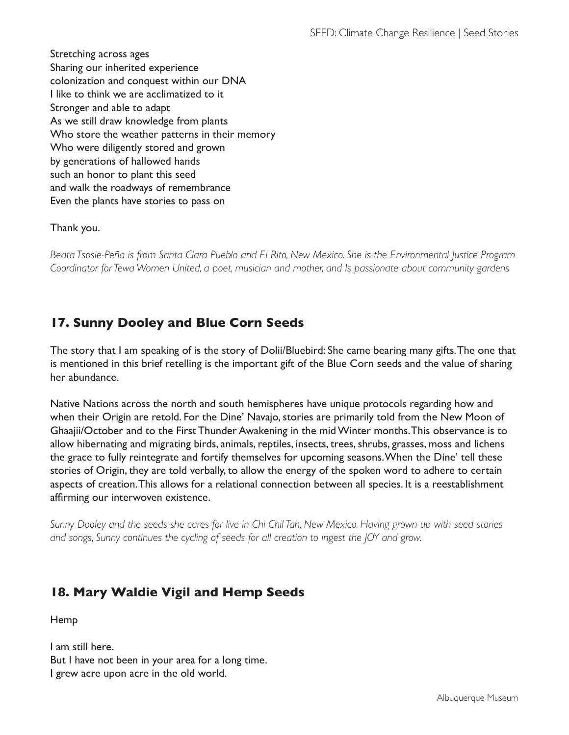Stretching across ages Sharing our inherited experience colonization and conquest within our DNA I like to think we are acclimatized to it Stronger and able to adapt As we still draw knowledge from plants Who store the weather patterns in their memory Who were diligently stored and grown by generations of hallowed hands such an honor to plant this seed and walk the roadways of remembrance Even the plants have stories to pass on

### Thank you.

*Beata Tsosie-Peña is from Santa Clara Pueblo and El Rito, New Mexico. She is the Environmental Justice Program Coordinator for Tewa Women United, a poet, musician and mother, and Is passionate about community gardens*

# **17. Sunny Dooley and Blue Corn Seeds**

The story that I am speaking of is the story of Dolii/Bluebird: She came bearing many gifts. The one that is mentioned in this brief retelling is the important gift of the Blue Corn seeds and the value of sharing her abundance.

Native Nations across the north and south hemispheres have unique protocols regarding how and when their Origin are retold. For the Dine' Navajo, stories are primarily told from the New Moon of Ghaajii/October and to the First Thunder Awakening in the mid Winter months. This observance is to allow hibernating and migrating birds, animals, reptiles, insects, trees, shrubs, grasses, moss and lichens the grace to fully reintegrate and fortify themselves for upcoming seasons. When the Dine' tell these stories of Origin, they are told verbally, to allow the energy of the spoken word to adhere to certain aspects of creation. This allows for a relational connection between all species. It is a reestablishment affirming our interwoven existence.

*Sunny Dooley and the seeds she cares for live in Chi Chil Tah, New Mexico. Having grown up with seed stories and songs, Sunny continues the cycling of seeds for all creation to ingest the JOY and grow.*

## **18. Mary Waldie Vigil and Hemp Seeds**

Hemp

I am still here. But I have not been in your area for a long time. I grew acre upon acre in the old world.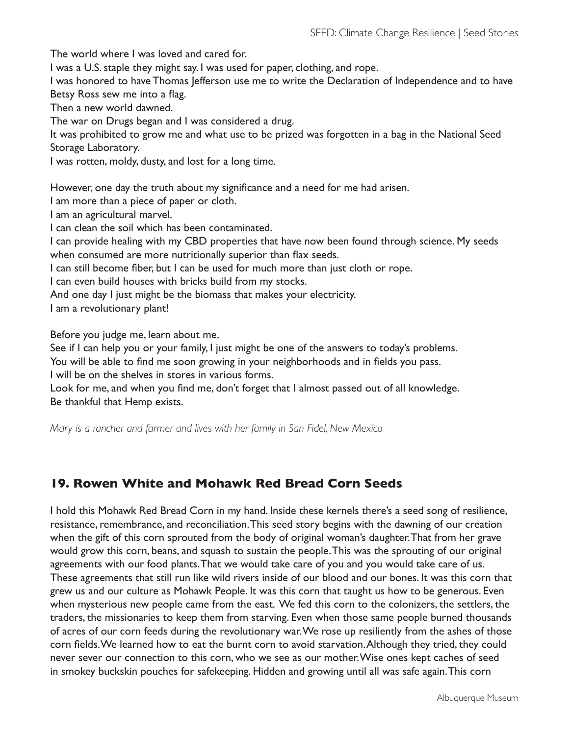The world where I was loved and cared for. I was a U.S. staple they might say. I was used for paper, clothing, and rope. I was honored to have Thomas Jefferson use me to write the Declaration of Independence and to have Betsy Ross sew me into a flag. Then a new world dawned. The war on Drugs began and I was considered a drug. It was prohibited to grow me and what use to be prized was forgotten in a bag in the National Seed Storage Laboratory. I was rotten, moldy, dusty, and lost for a long time. However, one day the truth about my significance and a need for me had arisen. I am more than a piece of paper or cloth. I am an agricultural marvel. I can clean the soil which has been contaminated. I can provide healing with my CBD properties that have now been found through science. My seeds when consumed are more nutritionally superior than flax seeds.

I can still become fiber, but I can be used for much more than just cloth or rope.

I can even build houses with bricks build from my stocks.

And one day I just might be the biomass that makes your electricity.

I am a revolutionary plant!

Before you judge me, learn about me.

See if I can help you or your family, I just might be one of the answers to today's problems.

You will be able to find me soon growing in your neighborhoods and in fields you pass.

I will be on the shelves in stores in various forms.

Look for me, and when you find me, don't forget that I almost passed out of all knowledge. Be thankful that Hemp exists.

*Mary is a rancher and farmer and lives with her family in San Fidel, New Mexico*

### **19. Rowen White and Mohawk Red Bread Corn Seeds**

I hold this Mohawk Red Bread Corn in my hand. Inside these kernels there's a seed song of resilience, resistance, remembrance, and reconciliation. This seed story begins with the dawning of our creation when the gift of this corn sprouted from the body of original woman's daughter. That from her grave would grow this corn, beans, and squash to sustain the people. This was the sprouting of our original agreements with our food plants. That we would take care of you and you would take care of us. These agreements that still run like wild rivers inside of our blood and our bones. It was this corn that grew us and our culture as Mohawk People. It was this corn that taught us how to be generous. Even when mysterious new people came from the east. We fed this corn to the colonizers, the settlers, the traders, the missionaries to keep them from starving. Even when those same people burned thousands of acres of our corn feeds during the revolutionary war. We rose up resiliently from the ashes of those corn fields. We learned how to eat the burnt corn to avoid starvation. Although they tried, they could never sever our connection to this corn, who we see as our mother. Wise ones kept caches of seed in smokey buckskin pouches for safekeeping. Hidden and growing until all was safe again. This corn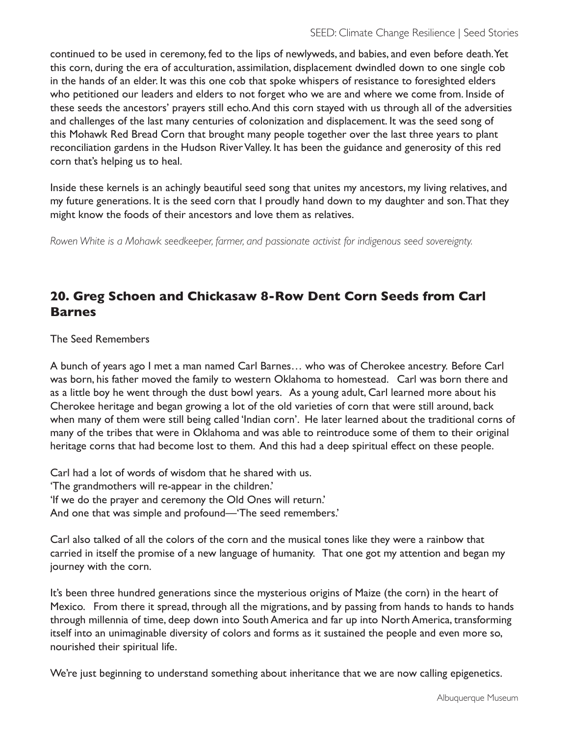continued to be used in ceremony, fed to the lips of newlyweds, and babies, and even before death. Yet this corn, during the era of acculturation, assimilation, displacement dwindled down to one single cob in the hands of an elder. It was this one cob that spoke whispers of resistance to foresighted elders who petitioned our leaders and elders to not forget who we are and where we come from. Inside of these seeds the ancestors' prayers still echo. And this corn stayed with us through all of the adversities and challenges of the last many centuries of colonization and displacement. It was the seed song of this Mohawk Red Bread Corn that brought many people together over the last three years to plant reconciliation gardens in the Hudson River Valley. It has been the guidance and generosity of this red corn that's helping us to heal.

Inside these kernels is an achingly beautiful seed song that unites my ancestors, my living relatives, and my future generations. It is the seed corn that I proudly hand down to my daughter and son. That they might know the foods of their ancestors and love them as relatives.

*Rowen White is a Mohawk seedkeeper, farmer, and passionate activist for indigenous seed sovereignty.* 

### **20. Greg Schoen and Chickasaw 8-Row Dent Corn Seeds from Carl Barnes**

The Seed Remembers

A bunch of years ago I met a man named Carl Barnes… who was of Cherokee ancestry. Before Carl was born, his father moved the family to western Oklahoma to homestead. Carl was born there and as a little boy he went through the dust bowl years. As a young adult, Carl learned more about his Cherokee heritage and began growing a lot of the old varieties of corn that were still around, back when many of them were still being called 'Indian corn'. He later learned about the traditional corns of many of the tribes that were in Oklahoma and was able to reintroduce some of them to their original heritage corns that had become lost to them. And this had a deep spiritual effect on these people.

Carl had a lot of words of wisdom that he shared with us. 'The grandmothers will re-appear in the children.' 'If we do the prayer and ceremony the Old Ones will return.' And one that was simple and profound—'The seed remembers.'

Carl also talked of all the colors of the corn and the musical tones like they were a rainbow that carried in itself the promise of a new language of humanity. That one got my attention and began my journey with the corn.

It's been three hundred generations since the mysterious origins of Maize (the corn) in the heart of Mexico. From there it spread, through all the migrations, and by passing from hands to hands to hands through millennia of time, deep down into South America and far up into North America, transforming itself into an unimaginable diversity of colors and forms as it sustained the people and even more so, nourished their spiritual life.

We're just beginning to understand something about inheritance that we are now calling epigenetics.